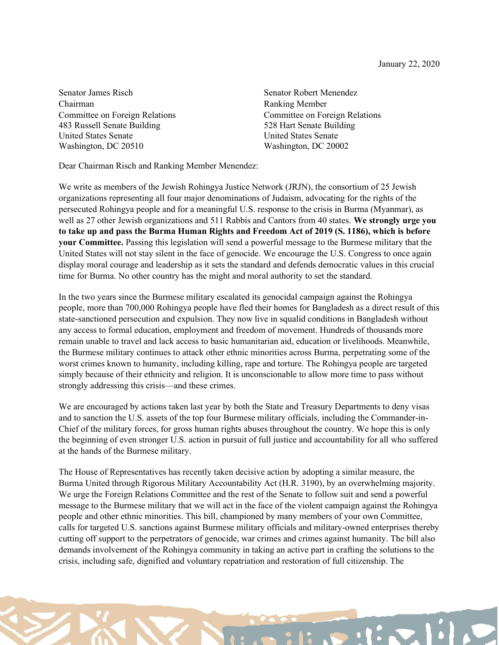Senator James Risch Senator Robert Menendez Chairman Ranking Member 483 Russell Senate Building 528 Hart Senate Building United States Senate United States Senate Washington, DC 20510 Washington, DC 20002

Committee on Foreign Relations Committee on Foreign Relations

Dear Chairman Risch and Ranking Member Menendez:

We write as members of the Jewish Rohingya Justice Network (JRJN), the consortium of 25 Jewish organizations representing all four major denominations of Judaism, advocating for the rights of the persecuted Rohingya people and for a meaningful U.S. response to the crisis in Burma (Myanmar), as well as 27 other Jewish organizations and 511 Rabbis and Cantors from 40 states. We strongly urge you to take up and pass the Burma Human Rights and Freedom Act of 2019 (S. 1186), which is before your Committee. Passing this legislation will send a powerful message to the Burmese military that the United States will not stay silent in the face of genocide. We encourage the U.S. Congress to once again display moral courage and leadership as it sets the standard and defends democratic values in this crucial time for Burma. No other country has the might and moral authority to set the standard.

In the two years since the Burmese military escalated its genocidal campaign against the Rohingya people, more than 700,000 Rohingya people have fled their homes for Bangladesh as a direct result of this state-sanctioned persecution and expulsion. They now live in squalid conditions in Bangladesh without any access to formal education, employment and freedom of movement. Hundreds of thousands more remain unable to travel and lack access to basic humanitarian aid, education or livelihoods. Meanwhile, the Burmese military continues to attack other ethnic minorities across Burma, perpetrating some of the worst crimes known to humanity, including killing, rape and torture. The Rohingya people are targeted simply because of their ethnicity and religion. It is unconscionable to allow more time to pass without strongly addressing this crisis—and these crimes.

We are encouraged by actions taken last year by both the State and Treasury Departments to deny visas and to sanction the U.S. assets of the top four Burmese military officials, including the Commander-in-Chief of the military forces, for gross human rights abuses throughout the country. We hope this is only the beginning of even stronger U.S. action in pursuit of full justice and accountability for all who suffered at the hands of the Burmese military.

The House of Representatives has recently taken decisive action by adopting a similar measure, the Burma United through Rigorous Military Accountability Act (H.R. 3190), by an overwhelming majority. We urge the Foreign Relations Committee and the rest of the Senate to follow suit and send a powerful message to the Burmese military that we will act in the face of the violent campaign against the Rohingya people and other ethnic minorities. This bill, championed by many members of your own Committee, calls for targeted U.S. sanctions against Burmese military officials and military-owned enterprises thereby cutting off support to the perpetrators of genocide, war crimes and crimes against humanity. The bill also demands involvement of the Rohingya community in taking an active part in crafting the solutions to the crisis, including safe, dignified and voluntary repatriation and restoration of full citizenship. The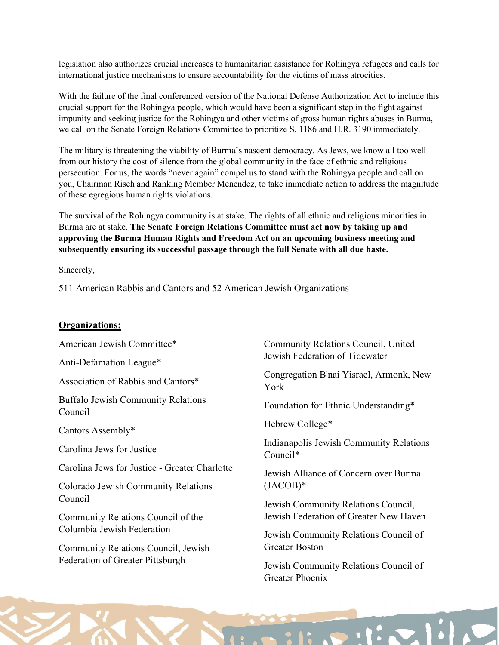legislation also authorizes crucial increases to humanitarian assistance for Rohingya refugees and calls for international justice mechanisms to ensure accountability for the victims of mass atrocities.

With the failure of the final conferenced version of the National Defense Authorization Act to include this crucial support for the Rohingya people, which would have been a significant step in the fight against impunity and seeking justice for the Rohingya and other victims of gross human rights abuses in Burma, we call on the Senate Foreign Relations Committee to prioritize S. 1186 and H.R. 3190 immediately.

The military is threatening the viability of Burma's nascent democracy. As Jews, we know all too well from our history the cost of silence from the global community in the face of ethnic and religious persecution. For us, the words "never again" compel us to stand with the Rohingya people and call on you, Chairman Risch and Ranking Member Menendez, to take immediate action to address the magnitude of these egregious human rights violations.

The survival of the Rohingya community is at stake. The rights of all ethnic and religious minorities in Burma are at stake. The Senate Foreign Relations Committee must act now by taking up and approving the Burma Human Rights and Freedom Act on an upcoming business meeting and subsequently ensuring its successful passage through the full Senate with all due haste.

Sincerely,

511 American Rabbis and Cantors and 52 American Jewish Organizations

#### Organizations:

American Jewish Committee\*

Anti-Defamation League\*

Association of Rabbis and Cantors\*

Buffalo Jewish Community Relations Council

Cantors Assembly\*

Carolina Jews for Justice

Carolina Jews for Justice - Greater Charlotte

Colorado Jewish Community Relations Council

Community Relations Council of the Columbia Jewish Federation

Community Relations Council, Jewish Federation of Greater Pittsburgh

Community Relations Council, United Jewish Federation of Tidewater

Congregation B'nai Yisrael, Armonk, New York

Foundation for Ethnic Understanding\*

Hebrew College\*

Indianapolis Jewish Community Relations Council\*

Jewish Alliance of Concern over Burma (JACOB)\*

Jewish Community Relations Council, Jewish Federation of Greater New Haven

Jewish Community Relations Council of Greater Boston

Jewish Community Relations Council of Greater Phoenix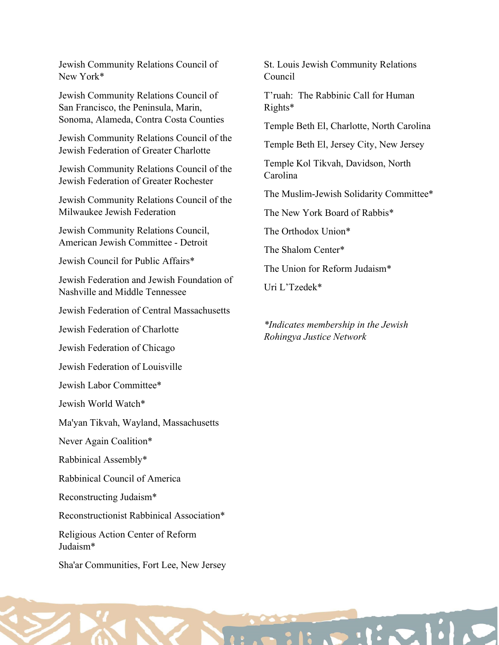Jewish Community Relations Council of New York\*

Jewish Community Relations Council of San Francisco, the Peninsula, Marin, Sonoma, Alameda, Contra Costa Counties

Jewish Community Relations Council of the Jewish Federation of Greater Charlotte

Jewish Community Relations Council of the Jewish Federation of Greater Rochester

Jewish Community Relations Council of the Milwaukee Jewish Federation

Jewish Community Relations Council, American Jewish Committee - Detroit

Jewish Council for Public Affairs\*

Jewish Federation and Jewish Foundation of Nashville and Middle Tennessee

Jewish Federation of Central Massachusetts

Jewish Federation of Charlotte

Jewish Federation of Chicago

Jewish Federation of Louisville

Jewish Labor Committee\*

Jewish World Watch\*

Ma'yan Tikvah, Wayland, Massachusetts

Never Again Coalition\*

Rabbinical Assembly\*

Rabbinical Council of America

Reconstructing Judaism\*

Reconstructionist Rabbinical Association\*

Religious Action Center of Reform Judaism\*

Sha'ar Communities, Fort Lee, New Jersey

St. Louis Jewish Community Relations Council

T'ruah: The Rabbinic Call for Human Rights\*

Temple Beth El, Charlotte, North Carolina

Temple Beth El, Jersey City, New Jersey

Temple Kol Tikvah, Davidson, North Carolina

The Muslim-Jewish Solidarity Committee\*

The New York Board of Rabbis\*

The Orthodox Union\*

The Shalom Center\*

The Union for Reform Judaism\*

Uri L'Tzedek\*

\*Indicates membership in the Jewish Rohingya Justice Network

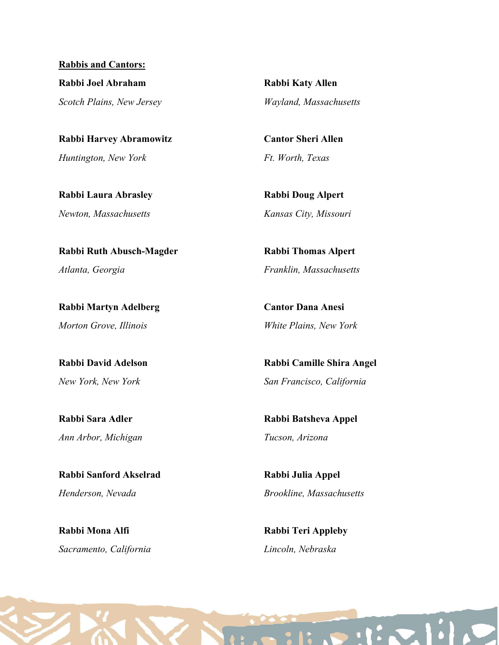Rabbis and Cantors: Rabbi Joel Abraham Scotch Plains, New Jersey

Rabbi Harvey Abramowitz Huntington, New York

Rabbi Laura Abrasley Newton, Massachusetts

Rabbi Ruth Abusch-Magder Atlanta, Georgia

Rabbi Martyn Adelberg Morton Grove, Illinois

Rabbi David Adelson New York, New York

Rabbi Sara Adler Ann Arbor, Michigan

Rabbi Sanford Akselrad Henderson, Nevada

Rabbi Mona Alfi Sacramento, California Rabbi Katy Allen Wayland, Massachusetts

Cantor Sheri Allen Ft. Worth, Texas

Rabbi Doug Alpert Kansas City, Missouri

Rabbi Thomas Alpert Franklin, Massachusetts

Cantor Dana Anesi White Plains, New York

Rabbi Camille Shira Angel San Francisco, California

Rabbi Batsheva Appel Tucson, Arizona

Rabbi Julia Appel Brookline, Massachusetts

Rabbi Teri Appleby Lincoln, Nebraska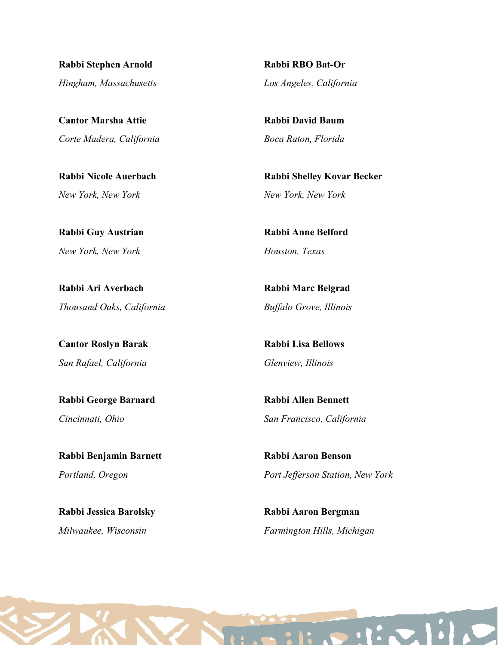Rabbi Stephen Arnold Hingham, Massachusetts

Cantor Marsha Attie Corte Madera, California

Rabbi Nicole Auerbach New York, New York

Rabbi Guy Austrian New York, New York

Rabbi Ari Averbach Thousand Oaks, California

Cantor Roslyn Barak San Rafael, California

Rabbi George Barnard Cincinnati, Ohio

Rabbi Benjamin Barnett Portland, Oregon

Rabbi Jessica Barolsky Milwaukee, Wisconsin

Rabbi RBO Bat-Or Los Angeles, California

Rabbi David Baum Boca Raton, Florida

Rabbi Shelley Kovar Becker New York, New York

Rabbi Anne Belford Houston, Texas

Rabbi Marc Belgrad Buffalo Grove, Illinois

Rabbi Lisa Bellows Glenview, Illinois

Rabbi Allen Bennett San Francisco, California

Rabbi Aaron Benson Port Jefferson Station, New York

Rabbi Aaron Bergman Farmington Hills, Michigan

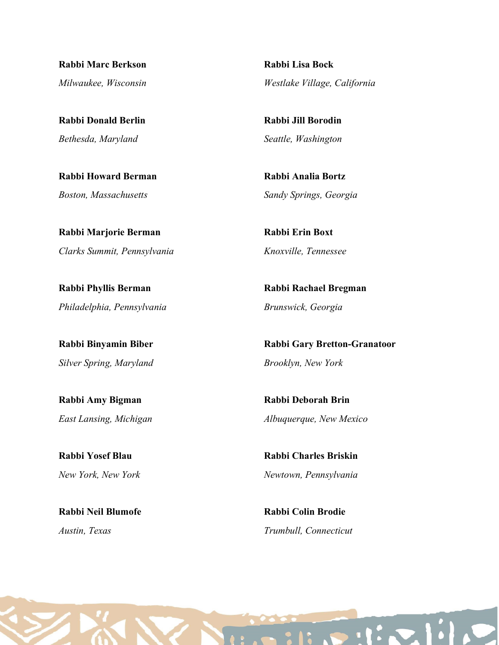Rabbi Marc Berkson Milwaukee, Wisconsin

Rabbi Donald Berlin Bethesda, Maryland

Rabbi Howard Berman Boston, Massachusetts

Rabbi Marjorie Berman Clarks Summit, Pennsylvania

Rabbi Phyllis Berman Philadelphia, Pennsylvania

Rabbi Binyamin Biber Silver Spring, Maryland

Rabbi Amy Bigman East Lansing, Michigan

Rabbi Yosef Blau New York, New York

Rabbi Neil Blumofe Austin, Texas

Rabbi Lisa Bock Westlake Village, California

Rabbi Jill Borodin Seattle, Washington

Rabbi Analia Bortz Sandy Springs, Georgia

Rabbi Erin Boxt Knoxville, Tennessee

Rabbi Rachael Bregman Brunswick, Georgia

Rabbi Gary Bretton-Granatoor Brooklyn, New York

Rabbi Deborah Brin Albuquerque, New Mexico

Rabbi Charles Briskin Newtown, Pennsylvania

Rabbi Colin Brodie Trumbull, Connecticut

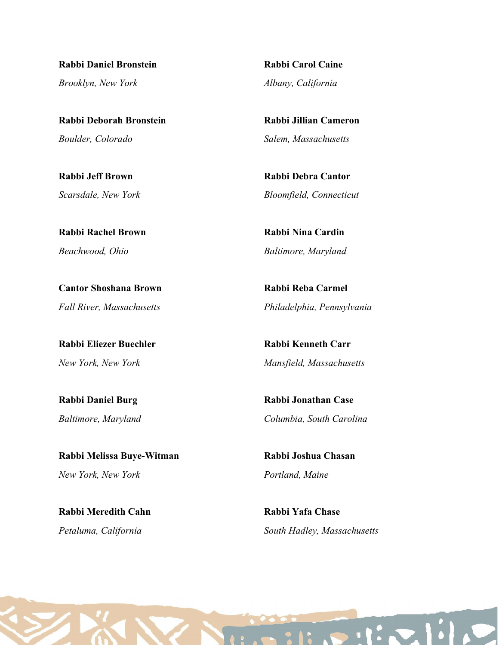Rabbi Daniel Bronstein Brooklyn, New York

Rabbi Deborah Bronstein Boulder, Colorado

Rabbi Jeff Brown Scarsdale, New York

Rabbi Rachel Brown Beachwood, Ohio

Cantor Shoshana Brown Fall River, Massachusetts

Rabbi Eliezer Buechler New York, New York

Rabbi Daniel Burg Baltimore, Maryland

Rabbi Melissa Buye-Witman New York, New York

Rabbi Meredith Cahn Petaluma, California

Rabbi Carol Caine Albany, California

Rabbi Jillian Cameron Salem, Massachusetts

Rabbi Debra Cantor Bloomfield, Connecticut

Rabbi Nina Cardin Baltimore, Maryland

Rabbi Reba Carmel Philadelphia, Pennsylvania

Rabbi Kenneth Carr Mansfield, Massachusetts

Rabbi Jonathan Case Columbia, South Carolina

Rabbi Joshua Chasan Portland, Maine

Rabbi Yafa Chase South Hadley, Massachusetts

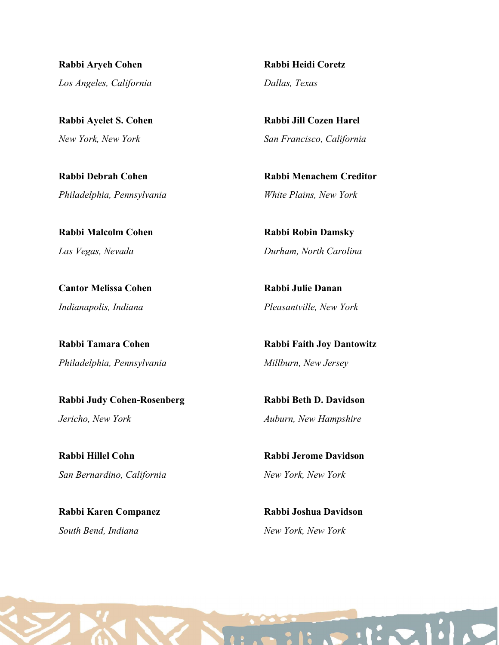Rabbi Aryeh Cohen Los Angeles, California

Rabbi Ayelet S. Cohen New York, New York

Rabbi Debrah Cohen Philadelphia, Pennsylvania

Rabbi Malcolm Cohen Las Vegas, Nevada

Cantor Melissa Cohen Indianapolis, Indiana

Rabbi Tamara Cohen Philadelphia, Pennsylvania

Rabbi Judy Cohen-Rosenberg Jericho, New York

Rabbi Hillel Cohn San Bernardino, California

Rabbi Karen Companez South Bend, Indiana

Rabbi Heidi Coretz Dallas, Texas

Rabbi Jill Cozen Harel San Francisco, California

Rabbi Menachem Creditor White Plains, New York

Rabbi Robin Damsky Durham, North Carolina

Rabbi Julie Danan Pleasantville, New York

Rabbi Faith Joy Dantowitz Millburn, New Jersey

Rabbi Beth D. Davidson Auburn, New Hampshire

Rabbi Jerome Davidson New York, New York

Rabbi Joshua Davidson New York, New York

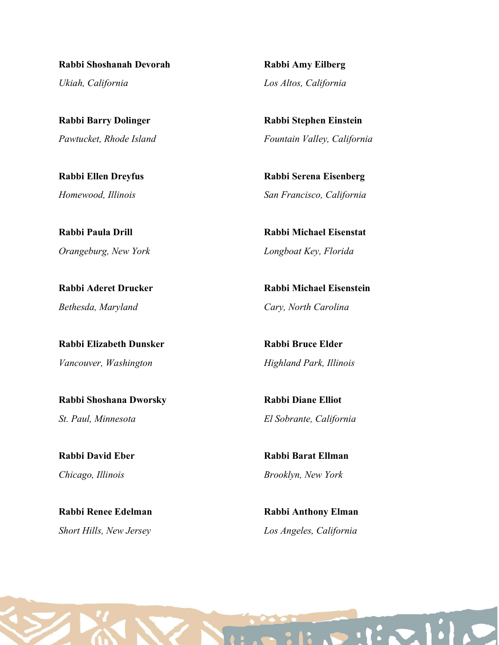Rabbi Shoshanah Devorah Ukiah, California

Rabbi Barry Dolinger Pawtucket, Rhode Island

Rabbi Ellen Dreyfus Homewood, Illinois

Rabbi Paula Drill Orangeburg, New York

Rabbi Aderet Drucker Bethesda, Maryland

Rabbi Elizabeth Dunsker Vancouver, Washington

Rabbi Shoshana Dworsky St. Paul, Minnesota

Rabbi David Eber Chicago, Illinois

Rabbi Renee Edelman Short Hills, New Jersey

Rabbi Amy Eilberg Los Altos, California

Rabbi Stephen Einstein Fountain Valley, California

Rabbi Serena Eisenberg San Francisco, California

Rabbi Michael Eisenstat Longboat Key, Florida

Rabbi Michael Eisenstein Cary, North Carolina

Rabbi Bruce Elder Highland Park, Illinois

Rabbi Diane Elliot El Sobrante, California

Rabbi Barat Ellman Brooklyn, New York

Rabbi Anthony Elman Los Angeles, California

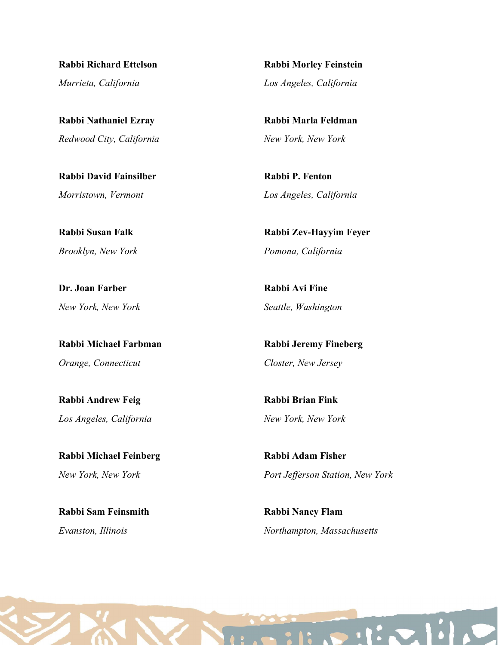Rabbi Richard Ettelson Murrieta, California

Rabbi Nathaniel Ezray Redwood City, California

Rabbi David Fainsilber Morristown, Vermont

Rabbi Susan Falk Brooklyn, New York

Dr. Joan Farber New York, New York

Rabbi Michael Farbman Orange, Connecticut

Rabbi Andrew Feig Los Angeles, California

Rabbi Michael Feinberg New York, New York

Rabbi Sam Feinsmith Evanston, Illinois

Rabbi Morley Feinstein Los Angeles, California

Rabbi Marla Feldman New York, New York

Rabbi P. Fenton Los Angeles, California

Rabbi Zev-Hayyim Feyer Pomona, California

Rabbi Avi Fine Seattle, Washington

Rabbi Jeremy Fineberg Closter, New Jersey

Rabbi Brian Fink New York, New York

Rabbi Adam Fisher Port Jefferson Station, New York

Rabbi Nancy Flam Northampton, Massachusetts

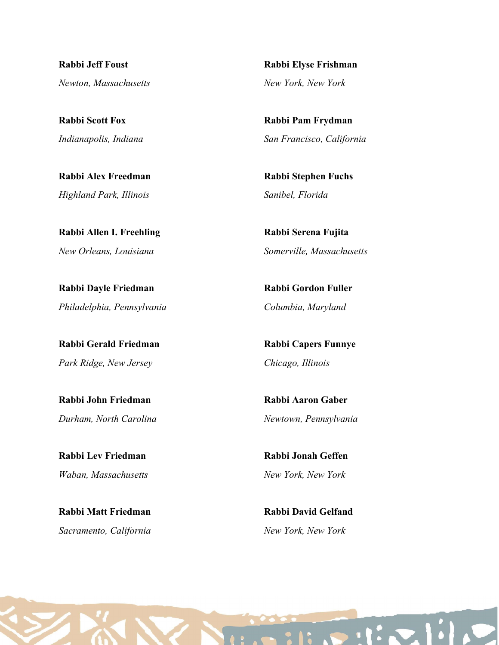Rabbi Jeff Foust Newton, Massachusetts

Rabbi Scott Fox Indianapolis, Indiana

Rabbi Alex Freedman Highland Park, Illinois

Rabbi Allen I. Freehling New Orleans, Louisiana

Rabbi Dayle Friedman Philadelphia, Pennsylvania

Rabbi Gerald Friedman Park Ridge, New Jersey

Rabbi John Friedman Durham, North Carolina

Rabbi Lev Friedman Waban, Massachusetts

Rabbi Matt Friedman Sacramento, California

Rabbi Elyse Frishman New York, New York

Rabbi Pam Frydman San Francisco, California

Rabbi Stephen Fuchs Sanibel, Florida

Rabbi Serena Fujita Somerville, Massachusetts

Rabbi Gordon Fuller Columbia, Maryland

Rabbi Capers Funnye Chicago, Illinois

Rabbi Aaron Gaber Newtown, Pennsylvania

Rabbi Jonah Geffen New York, New York

Rabbi David Gelfand New York, New York

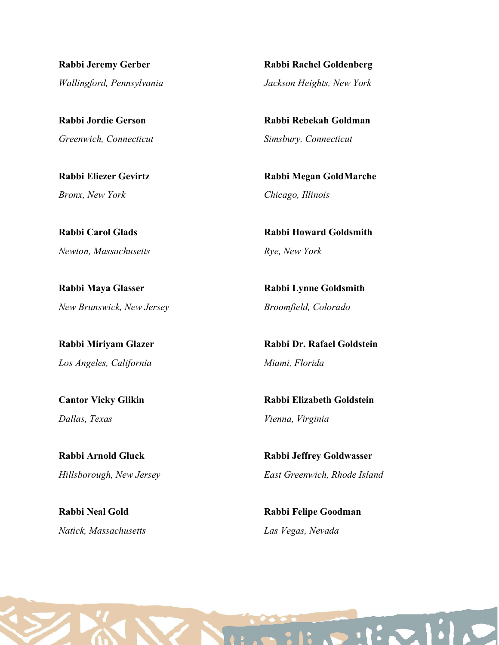Rabbi Jeremy Gerber Wallingford, Pennsylvania

Rabbi Jordie Gerson Greenwich, Connecticut

Rabbi Eliezer Gevirtz Bronx, New York

Rabbi Carol Glads Newton, Massachusetts

Rabbi Maya Glasser New Brunswick, New Jersey

Rabbi Miriyam Glazer Los Angeles, California

Cantor Vicky Glikin Dallas, Texas

Rabbi Arnold Gluck Hillsborough, New Jersey

Rabbi Neal Gold Natick, Massachusetts

Rabbi Rachel Goldenberg Jackson Heights, New York

Rabbi Rebekah Goldman Simsbury, Connecticut

Rabbi Megan GoldMarche Chicago, Illinois

Rabbi Howard Goldsmith Rye, New York

Rabbi Lynne Goldsmith Broomfield, Colorado

Rabbi Dr. Rafael Goldstein Miami, Florida

Rabbi Elizabeth Goldstein Vienna, Virginia

Rabbi Jeffrey Goldwasser East Greenwich, Rhode Island

Rabbi Felipe Goodman Las Vegas, Nevada

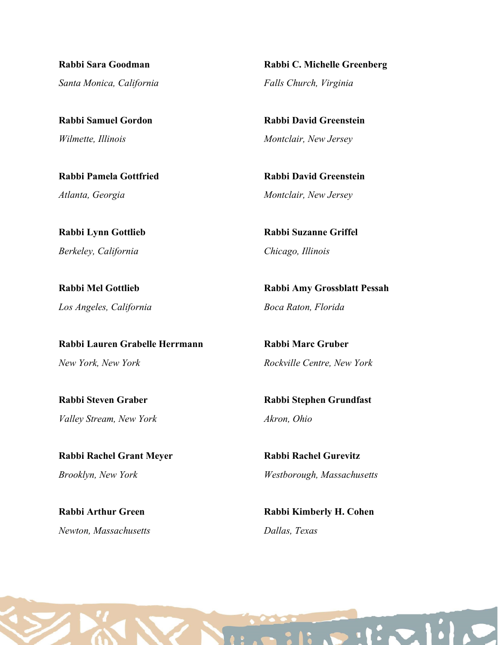Rabbi Sara Goodman Santa Monica, California

Rabbi Samuel Gordon Wilmette, Illinois

Rabbi Pamela Gottfried Atlanta, Georgia

Rabbi Lynn Gottlieb Berkeley, California

Rabbi Mel Gottlieb Los Angeles, California

Rabbi Lauren Grabelle Herrmann New York, New York

Rabbi Steven Graber Valley Stream, New York

Rabbi Rachel Grant Meyer Brooklyn, New York

Rabbi Arthur Green Newton, Massachusetts

Rabbi C. Michelle Greenberg Falls Church, Virginia

Rabbi David Greenstein Montclair, New Jersey

Rabbi David Greenstein Montclair, New Jersey

Rabbi Suzanne Griffel Chicago, Illinois

Rabbi Amy Grossblatt Pessah Boca Raton, Florida

Rabbi Marc Gruber Rockville Centre, New York

Rabbi Stephen Grundfast Akron, Ohio

Rabbi Rachel Gurevitz Westborough, Massachusetts

Rabbi Kimberly H. Cohen Dallas, Texas

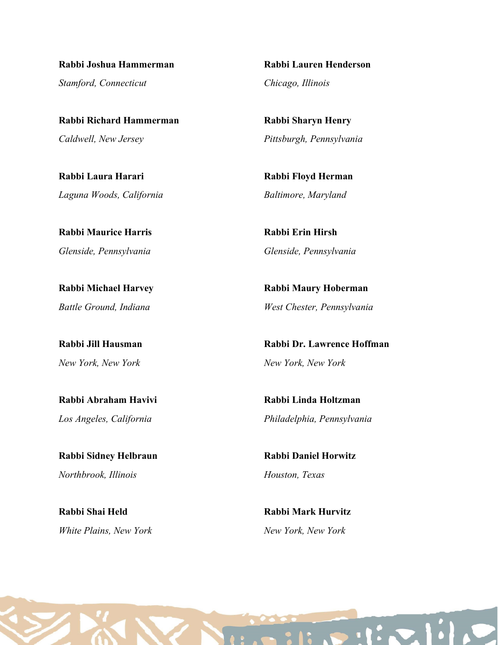Rabbi Joshua Hammerman Stamford, Connecticut

Rabbi Richard Hammerman Caldwell, New Jersey

Rabbi Laura Harari Laguna Woods, California

Rabbi Maurice Harris Glenside, Pennsylvania

Rabbi Michael Harvey Battle Ground, Indiana

Rabbi Jill Hausman New York, New York

Rabbi Abraham Havivi Los Angeles, California

Rabbi Sidney Helbraun Northbrook, Illinois

Rabbi Shai Held White Plains, New York Rabbi Lauren Henderson Chicago, Illinois

Rabbi Sharyn Henry Pittsburgh, Pennsylvania

Rabbi Floyd Herman Baltimore, Maryland

Rabbi Erin Hirsh Glenside, Pennsylvania

Rabbi Maury Hoberman West Chester, Pennsylvania

Rabbi Dr. Lawrence Hoffman New York, New York

Rabbi Linda Holtzman Philadelphia, Pennsylvania

Rabbi Daniel Horwitz Houston, Texas

Rabbi Mark Hurvitz New York, New York

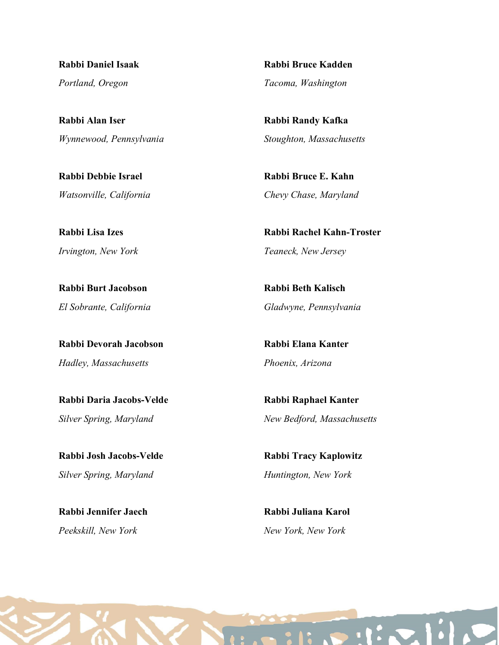Rabbi Daniel Isaak Portland, Oregon

Rabbi Alan Iser Wynnewood, Pennsylvania

Rabbi Debbie Israel Watsonville, California

Rabbi Lisa Izes Irvington, New York

Rabbi Burt Jacobson El Sobrante, California

Rabbi Devorah Jacobson Hadley, Massachusetts

Rabbi Daria Jacobs-Velde Silver Spring, Maryland

Rabbi Josh Jacobs-Velde Silver Spring, Maryland

Rabbi Jennifer Jaech Peekskill, New York

Rabbi Bruce Kadden Tacoma, Washington

Rabbi Randy Kafka Stoughton, Massachusetts

Rabbi Bruce E. Kahn Chevy Chase, Maryland

Rabbi Rachel Kahn-Troster Teaneck, New Jersey

Rabbi Beth Kalisch Gladwyne, Pennsylvania

Rabbi Elana Kanter Phoenix, Arizona

Rabbi Raphael Kanter New Bedford, Massachusetts

Rabbi Tracy Kaplowitz Huntington, New York

Rabbi Juliana Karol New York, New York

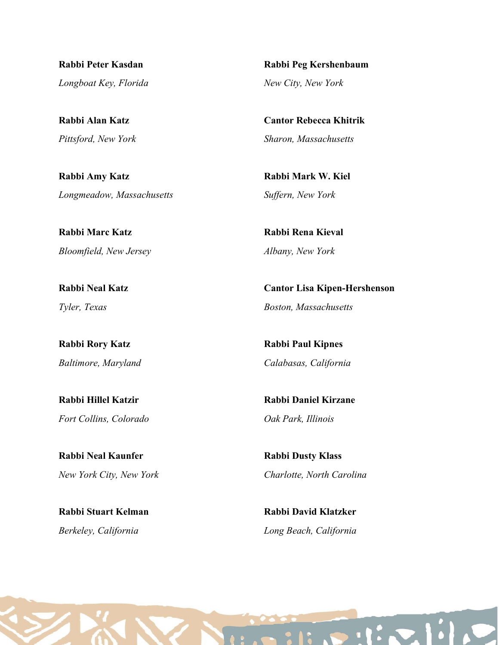Rabbi Peter Kasdan Longboat Key, Florida

Rabbi Alan Katz Pittsford, New York

Rabbi Amy Katz Longmeadow, Massachusetts

Rabbi Marc Katz Bloomfield, New Jersey

Rabbi Neal Katz Tyler, Texas

Rabbi Rory Katz Baltimore, Maryland

Rabbi Hillel Katzir Fort Collins, Colorado

Rabbi Neal Kaunfer New York City, New York

Rabbi Stuart Kelman Berkeley, California

Rabbi Peg Kershenbaum New City, New York

Cantor Rebecca Khitrik Sharon, Massachusetts

Rabbi Mark W. Kiel Suffern, New York

Rabbi Rena Kieval Albany, New York

Cantor Lisa Kipen-Hershenson Boston, Massachusetts

Rabbi Paul Kipnes Calabasas, California

Rabbi Daniel Kirzane Oak Park, Illinois

Rabbi Dusty Klass Charlotte, North Carolina

Rabbi David Klatzker Long Beach, California

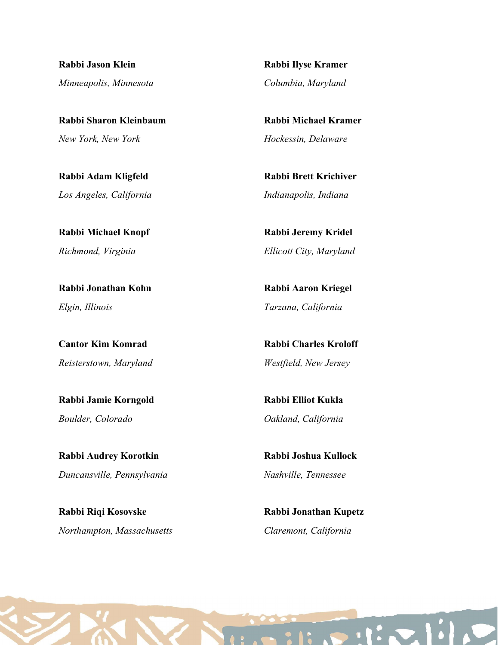Rabbi Jason Klein Minneapolis, Minnesota

Rabbi Sharon Kleinbaum New York, New York

Rabbi Adam Kligfeld Los Angeles, California

Rabbi Michael Knopf Richmond, Virginia

Rabbi Jonathan Kohn Elgin, Illinois

Cantor Kim Komrad Reisterstown, Maryland

Rabbi Jamie Korngold Boulder, Colorado

Rabbi Audrey Korotkin Duncansville, Pennsylvania

Rabbi Riqi Kosovske Northampton, Massachusetts Rabbi Ilyse Kramer Columbia, Maryland

Rabbi Michael Kramer Hockessin, Delaware

Rabbi Brett Krichiver Indianapolis, Indiana

Rabbi Jeremy Kridel Ellicott City, Maryland

Rabbi Aaron Kriegel Tarzana, California

Rabbi Charles Kroloff Westfield, New Jersey

Rabbi Elliot Kukla Oakland, California

Rabbi Joshua Kullock Nashville, Tennessee

Rabbi Jonathan Kupetz Claremont, California

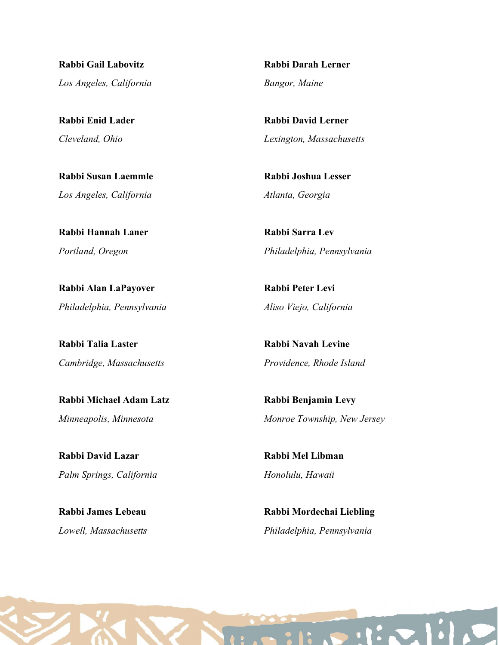Rabbi Gail Labovitz Los Angeles, California

Rabbi Enid Lader Cleveland, Ohio

Rabbi Susan Laemmle Los Angeles, California

Rabbi Hannah Laner Portland, Oregon

Rabbi Alan LaPayover Philadelphia, Pennsylvania

Rabbi Talia Laster Cambridge, Massachusetts

Rabbi Michael Adam Latz Minneapolis, Minnesota

Rabbi David Lazar Palm Springs, California

Rabbi James Lebeau Lowell, Massachusetts

Rabbi Darah Lerner Bangor, Maine

Rabbi David Lerner Lexington, Massachusetts

Rabbi Joshua Lesser Atlanta, Georgia

Rabbi Sarra Lev Philadelphia, Pennsylvania

Rabbi Peter Levi Aliso Viejo, California

Rabbi Navah Levine Providence, Rhode Island

Rabbi Benjamin Levy Monroe Township, New Jersey

Rabbi Mel Libman Honolulu, Hawaii

Rabbi Mordechai Liebling Philadelphia, Pennsylvania

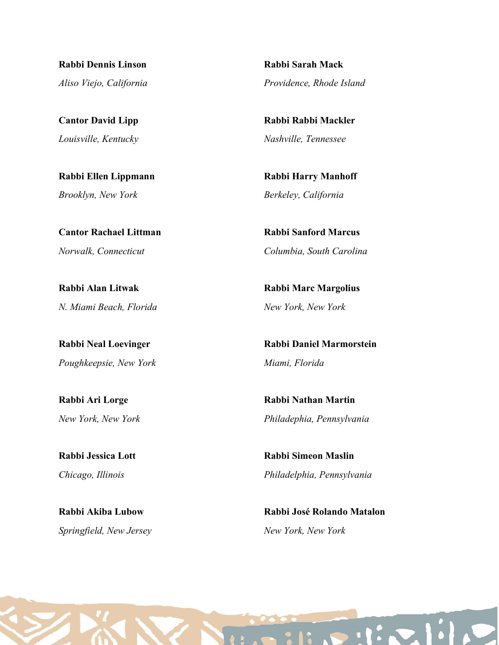Rabbi Dennis Linson Aliso Viejo, California

Cantor David Lipp Louisville, Kentucky

Rabbi Ellen Lippmann Brooklyn, New York

Cantor Rachael Littman Norwalk, Connecticut

Rabbi Alan Litwak N. Miami Beach, Florida

Rabbi Neal Loevinger Poughkeepsie, New York

Rabbi Ari Lorge New York, New York

Rabbi Jessica Lott Chicago, Illinois

Rabbi Akiba Lubow Springfield, New Jersey

Rabbi Sarah Mack Providence, Rhode Island

Rabbi Rabbi Mackler Nashville, Tennessee

Rabbi Harry Manhoff Berkeley, California

Rabbi Sanford Marcus Columbia, South Carolina

Rabbi Marc Margolius New York, New York

Rabbi Daniel Marmorstein Miami, Florida

Rabbi Nathan Martin Philadephia, Pennsylvania

Rabbi Simeon Maslin Philadelphia, Pennsylvania

Rabbi José Rolando Matalon New York, New York

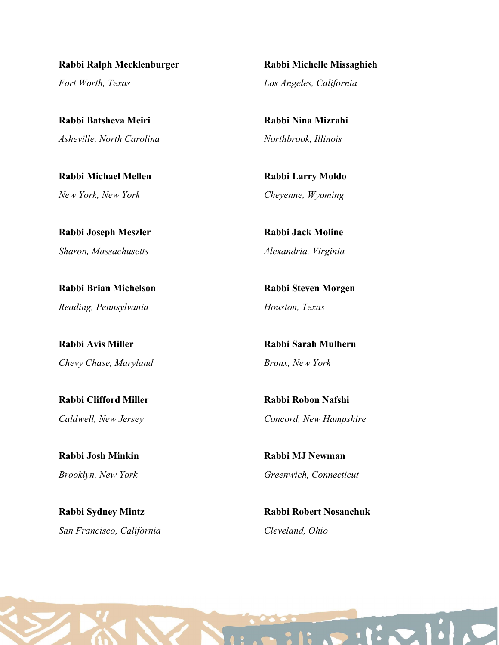Rabbi Ralph Mecklenburger Fort Worth, Texas

Rabbi Batsheva Meiri Asheville, North Carolina

Rabbi Michael Mellen New York, New York

Rabbi Joseph Meszler Sharon, Massachusetts

Rabbi Brian Michelson Reading, Pennsylvania

Rabbi Avis Miller Chevy Chase, Maryland

Rabbi Clifford Miller Caldwell, New Jersey

Rabbi Josh Minkin Brooklyn, New York

Rabbi Sydney Mintz San Francisco, California

Rabbi Michelle Missaghieh Los Angeles, California

Rabbi Nina Mizrahi Northbrook, Illinois

Rabbi Larry Moldo Cheyenne, Wyoming

Rabbi Jack Moline Alexandria, Virginia

Rabbi Steven Morgen Houston, Texas

Rabbi Sarah Mulhern Bronx, New York

Rabbi Robon Nafshi Concord, New Hampshire

Rabbi MJ Newman Greenwich, Connecticut

Rabbi Robert Nosanchuk Cleveland, Ohio

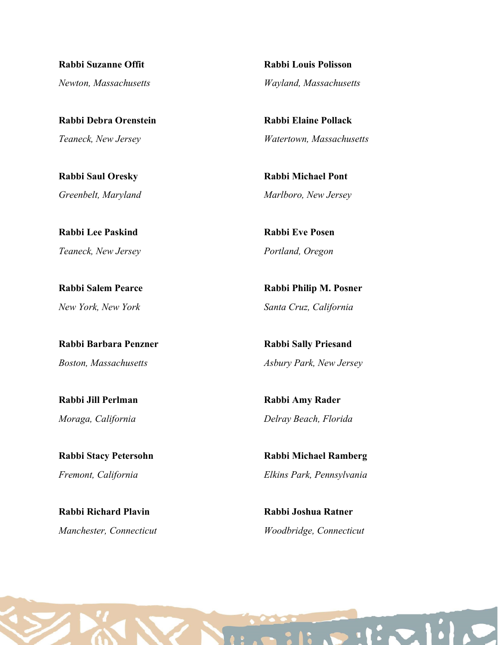Rabbi Suzanne Offit Newton, Massachusetts

Rabbi Debra Orenstein Teaneck, New Jersey

Rabbi Saul Oresky Greenbelt, Maryland

Rabbi Lee Paskind Teaneck, New Jersey

Rabbi Salem Pearce New York, New York

Rabbi Barbara Penzner Boston, Massachusetts

Rabbi Jill Perlman Moraga, California

Rabbi Stacy Petersohn Fremont, California

Rabbi Richard Plavin Manchester, Connecticut Rabbi Louis Polisson Wayland, Massachusetts

Rabbi Elaine Pollack Watertown, Massachusetts

Rabbi Michael Pont Marlboro, New Jersey

Rabbi Eve Posen Portland, Oregon

Rabbi Philip M. Posner Santa Cruz, California

Rabbi Sally Priesand Asbury Park, New Jersey

Rabbi Amy Rader Delray Beach, Florida

Rabbi Michael Ramberg Elkins Park, Pennsylvania

Rabbi Joshua Ratner Woodbridge, Connecticut

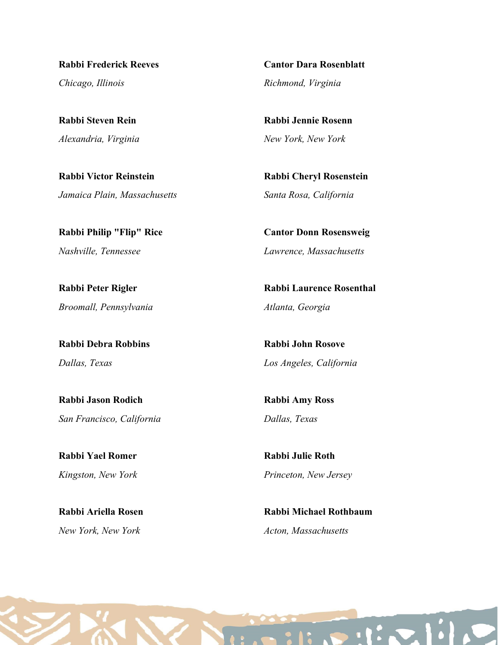Rabbi Frederick Reeves Chicago, Illinois

Rabbi Steven Rein Alexandria, Virginia

Rabbi Victor Reinstein Jamaica Plain, Massachusetts

Rabbi Philip "Flip" Rice Nashville, Tennessee

Rabbi Peter Rigler Broomall, Pennsylvania

Rabbi Debra Robbins Dallas, Texas

Rabbi Jason Rodich San Francisco, California

Rabbi Yael Romer Kingston, New York

Rabbi Ariella Rosen New York, New York

Cantor Dara Rosenblatt Richmond, Virginia

Rabbi Jennie Rosenn New York, New York

Rabbi Cheryl Rosenstein Santa Rosa, California

Cantor Donn Rosensweig Lawrence, Massachusetts

Rabbi Laurence Rosenthal Atlanta, Georgia

Rabbi John Rosove Los Angeles, California

Rabbi Amy Ross Dallas, Texas

Rabbi Julie Roth Princeton, New Jersey

Rabbi Michael Rothbaum Acton, Massachusetts

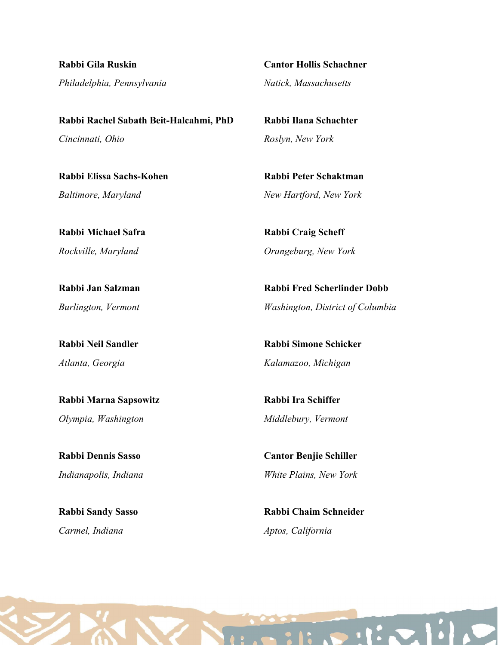Rabbi Gila Ruskin Philadelphia, Pennsylvania

Cantor Hollis Schachner Natick, Massachusetts

Rabbi Rachel Sabath Beit-Halcahmi, PhD Cincinnati, Ohio

Rabbi Elissa Sachs-Kohen Baltimore, Maryland

Rabbi Michael Safra Rockville, Maryland

Rabbi Jan Salzman Burlington, Vermont

Rabbi Neil Sandler Atlanta, Georgia

Rabbi Marna Sapsowitz Olympia, Washington

Rabbi Dennis Sasso Indianapolis, Indiana

Rabbi Sandy Sasso Carmel, Indiana

Rabbi Ilana Schachter Roslyn, New York

Rabbi Peter Schaktman New Hartford, New York

Rabbi Craig Scheff Orangeburg, New York

Rabbi Fred Scherlinder Dobb Washington, District of Columbia

Rabbi Simone Schicker Kalamazoo, Michigan

Rabbi Ira Schiffer Middlebury, Vermont

Cantor Benjie Schiller White Plains, New York

Rabbi Chaim Schneider Aptos, California

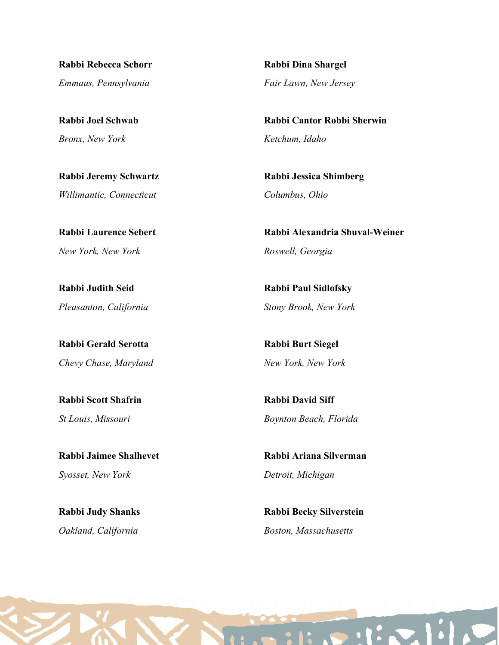Rabbi Rebecca Schorr Emmaus, Pennsylvania

Rabbi Joel Schwab Bronx, New York

Rabbi Jeremy Schwartz Willimantic, Connecticut

Rabbi Laurence Sebert New York, New York

Rabbi Judith Seid Pleasanton, California

Rabbi Gerald Serotta Chevy Chase, Maryland

Rabbi Scott Shafrin St Louis, Missouri

Rabbi Jaimee Shalhevet Syosset, New York

Rabbi Judy Shanks Oakland, California

Rabbi Dina Shargel Fair Lawn, New Jersey

Rabbi Cantor Robbi Sherwin Ketchum, Idaho

Rabbi Jessica Shimberg Columbus, Ohio

Rabbi Alexandria Shuval-Weiner Roswell, Georgia

Rabbi Paul Sidlofsky Stony Brook, New York

Rabbi Burt Siegel New York, New York

Rabbi David Siff Boynton Beach, Florida

Rabbi Ariana Silverman Detroit, Michigan

Rabbi Becky Silverstein Boston, Massachusetts

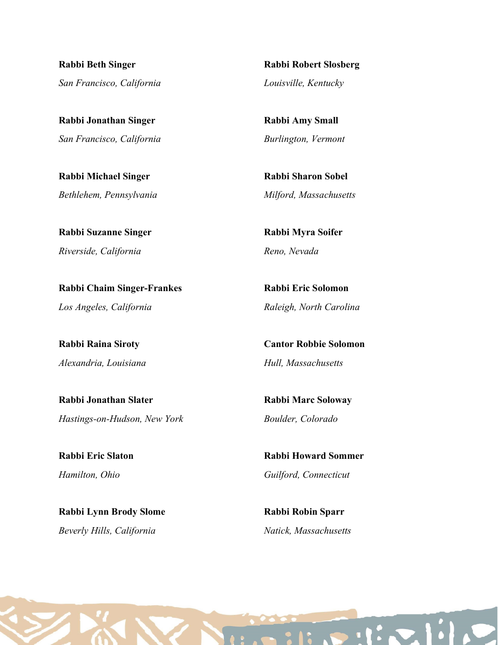Rabbi Beth Singer San Francisco, California

Rabbi Jonathan Singer San Francisco, California

Rabbi Michael Singer Bethlehem, Pennsylvania

Rabbi Suzanne Singer Riverside, California

Rabbi Chaim Singer-Frankes Los Angeles, California

Rabbi Raina Siroty Alexandria, Louisiana

Rabbi Jonathan Slater Hastings-on-Hudson, New York

Rabbi Eric Slaton Hamilton, Ohio

Rabbi Lynn Brody Slome Beverly Hills, California

Rabbi Robert Slosberg Louisville, Kentucky

Rabbi Amy Small Burlington, Vermont

Rabbi Sharon Sobel Milford, Massachusetts

Rabbi Myra Soifer Reno, Nevada

Rabbi Eric Solomon Raleigh, North Carolina

Cantor Robbie Solomon Hull, Massachusetts

Rabbi Marc Soloway Boulder, Colorado

Rabbi Howard Sommer Guilford, Connecticut

Rabbi Robin Sparr Natick, Massachusetts

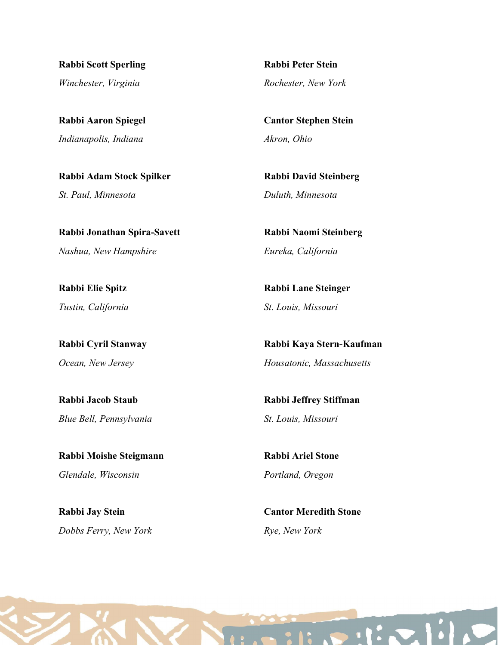Rabbi Scott Sperling Winchester, Virginia

Rabbi Aaron Spiegel Indianapolis, Indiana

Rabbi Adam Stock Spilker St. Paul, Minnesota

Rabbi Jonathan Spira-Savett Nashua, New Hampshire

Rabbi Elie Spitz Tustin, California

Rabbi Cyril Stanway Ocean, New Jersey

Rabbi Jacob Staub Blue Bell, Pennsylvania

Rabbi Moishe Steigmann Glendale, Wisconsin

Rabbi Jay Stein Dobbs Ferry, New York

Rabbi Peter Stein Rochester, New York

Cantor Stephen Stein Akron, Ohio

Rabbi David Steinberg Duluth, Minnesota

Rabbi Naomi Steinberg Eureka, California

Rabbi Lane Steinger St. Louis, Missouri

Rabbi Kaya Stern-Kaufman Housatonic, Massachusetts

Rabbi Jeffrey Stiffman St. Louis, Missouri

Rabbi Ariel Stone Portland, Oregon

Cantor Meredith Stone Rye, New York

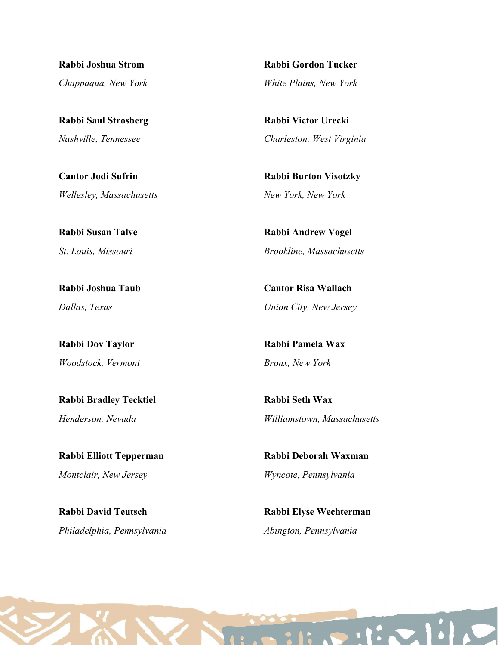Rabbi Joshua Strom Chappaqua, New York

Rabbi Saul Strosberg Nashville, Tennessee

Cantor Jodi Sufrin Wellesley, Massachusetts

Rabbi Susan Talve St. Louis, Missouri

Rabbi Joshua Taub Dallas, Texas

Rabbi Dov Taylor Woodstock, Vermont

Rabbi Bradley Tecktiel Henderson, Nevada

Rabbi Elliott Tepperman Montclair, New Jersey

Rabbi David Teutsch Philadelphia, Pennsylvania Rabbi Gordon Tucker White Plains, New York

Rabbi Victor Urecki Charleston, West Virginia

Rabbi Burton Visotzky New York, New York

Rabbi Andrew Vogel Brookline, Massachusetts

Cantor Risa Wallach Union City, New Jersey

Rabbi Pamela Wax Bronx, New York

Rabbi Seth Wax Williamstown, Massachusetts

Rabbi Deborah Waxman Wyncote, Pennsylvania

Rabbi Elyse Wechterman Abington, Pennsylvania

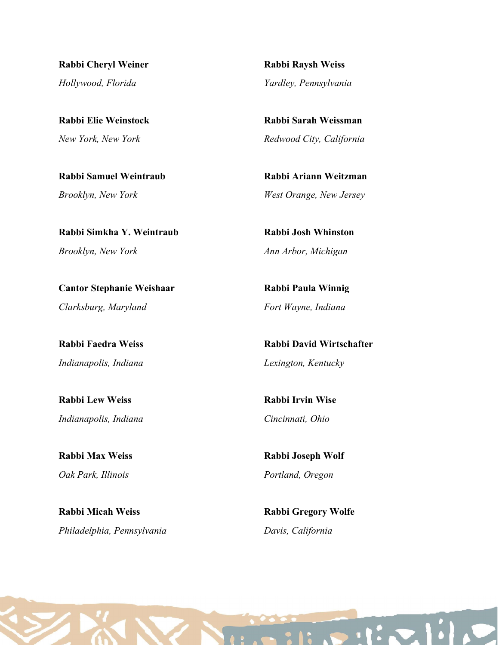Rabbi Cheryl Weiner Hollywood, Florida

Rabbi Elie Weinstock New York, New York

Rabbi Samuel Weintraub Brooklyn, New York

Rabbi Simkha Y. Weintraub Brooklyn, New York

Cantor Stephanie Weishaar Clarksburg, Maryland

Rabbi Faedra Weiss Indianapolis, Indiana

Rabbi Lew Weiss Indianapolis, Indiana

Rabbi Max Weiss Oak Park, Illinois

Rabbi Micah Weiss Philadelphia, Pennsylvania Rabbi Raysh Weiss Yardley, Pennsylvania

Rabbi Sarah Weissman Redwood City, California

Rabbi Ariann Weitzman West Orange, New Jersey

Rabbi Josh Whinston Ann Arbor, Michigan

Rabbi Paula Winnig Fort Wayne, Indiana

Rabbi David Wirtschafter Lexington, Kentucky

Rabbi Irvin Wise Cincinnati, Ohio

Rabbi Joseph Wolf Portland, Oregon

Rabbi Gregory Wolfe Davis, California